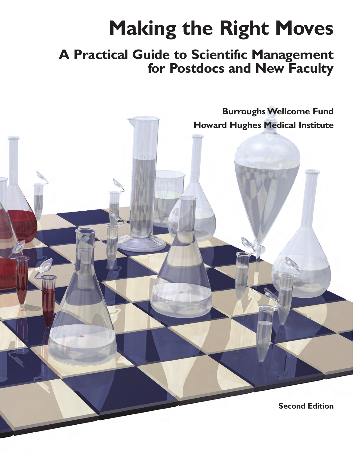# **Making the Right Moves**

## **A Practical Guide to Scientifıc Management for Postdocs and New Faculty**

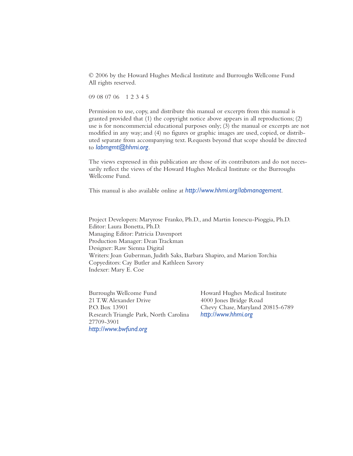© 2006 by the Howard Hughes Medical Institute and Burroughs Wellcome Fund All rights reserved.

09 08 07 06 1 2 3 4 5

Permission to use, copy, and distribute this manual or excerpts from this manual is granted provided that (1) the copyright notice above appears in all reproductions; (2) use is for noncommercial educational purposes only; (3) the manual or excerpts are not modified in any way; and (4) no figures or graphic images are used, copied, or distributed separate from accompanying text. Requests beyond that scope should be directed to *labmgmt@hhmi.org*.

The views expressed in this publication are those of its contributors and do not necessarily reflect the views of the Howard Hughes Medical Institute or the Burroughs Wellcome Fund.

This manual is also available online at *http://www.hhmi.org/labmanagement*.

Project Developers: Maryrose Franko, Ph.D., and Martin Ionescu-Pioggia, Ph.D. Editor: Laura Bonetta, Ph.D. Managing Editor: Patricia Davenport Production Manager: Dean Trackman Designer: Raw Sienna Digital Writers: Joan Guberman, Judith Saks, Barbara Shapiro, and Marion Torchia Copyeditors: Cay Butler and Kathleen Savory Indexer: Mary E. Coe

Burroughs Wellcome Fund 21 T.W.Alexander Drive P.O. Box 13901 Research Triangle Park, North Carolina 27709-3901 *http://www.bwfund.org*

Howard Hughes Medical Institute 4000 Jones Bridge Road Chevy Chase, Maryland 20815-6789 *http://www.hhmi.org*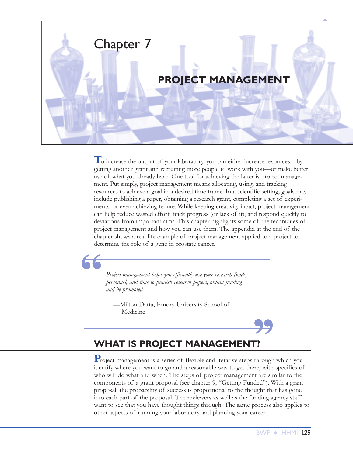

**T**o increase the output of your laboratory, you can either increase resources—by getting another grant and recruiting more people to work with you—or make better use of what you already have. One tool for achieving the latter is project management. Put simply, project management means allocating, using, and tracking resources to achieve a goal in a desired time frame. In a scientific setting, goals may include publishing a paper, obtaining a research grant, completing a set of experiments, or even achieving tenure. While keeping creativity intact, project management can help reduce wasted effort, track progress (or lack of it), and respond quickly to deviations from important aims. This chapter highlights some of the techniques of project management and how you can use them. The appendix at the end of the chapter shows a real-life example of project management applied to a project to determine the role of a gene in prostate cancer.

*Project management helps you efficiently use your research funds, personnel, and time to publish research papers, obtain funding, and be promoted.*

**''**

—Milton Datta, Emory University School of Medicine

## **WHAT IS PROJECT MANAGEMENT?**

Project management is a series of flexible and iterative steps through which you identify where you want to go and a reasonable way to get there, with specifics of who will do what and when. The steps of project management are similar to the components of a grant proposal (see chapter 9, "Getting Funded"). With a grant proposal, the probability of success is proportional to the thought that has gone into each part of the proposal. The reviewers as well as the funding agency staff want to see that you have thought things through. The same process also applies to other aspects of running your laboratory and planning your career.

**''**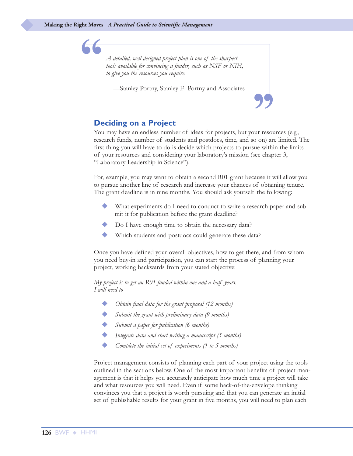

#### **Deciding on a Project**

You may have an endless number of ideas for projects, but your resources (e.g., research funds, number of students and postdocs, time, and so on) are limited. The first thing you will have to do is decide which projects to pursue within the limits of your resources and considering your laboratory's mission (see chapter 3, "Laboratory Leadership in Science").

For, example, you may want to obtain a second R01 grant because it will allow you to pursue another line of research and increase your chances of obtaining tenure. The grant deadline is in nine months. You should ask yourself the following:

- What experiments do I need to conduct to write a research paper and submit it for publication before the grant deadline?
- Do I have enough time to obtain the necessary data?
- Which students and postdocs could generate these data?

Once you have defined your overall objectives, how to get there, and from whom you need buy-in and participation, you can start the process of planning your project, working backwards from your stated objective:

*My project is to get an R01 funded within one and a half years. I will need to*

- Obtain final data for the grant proposal (12 months)
- Submit the grant with preliminary data (9 months)
- u *Submit a paper for publication (6 months)*
- Integrate data and start writing a manuscript (5 months)
- *Complete the initial set of experiments (1 to 5 months)*

Project management consists of planning each part of your project using the tools outlined in the sections below. One of the most important benefits of project management is that it helps you accurately anticipate how much time a project will take and what resources you will need. Even if some back-of-the-envelope thinking convinces you that a project is worth pursuing and that you can generate an initial set of publishable results for your grant in five months, you will need to plan each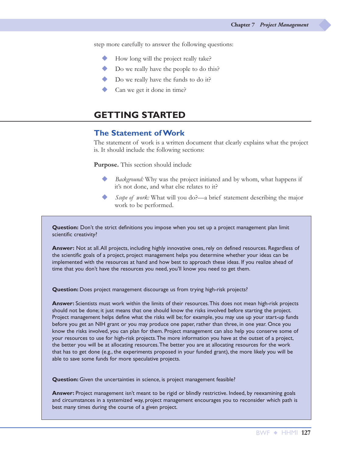step more carefully to answer the following questions:

- How long will the project really take?
- Do we really have the people to do this?
- Do we really have the funds to do it?
- Can we get it done in time?

## **GETTING STARTED**

#### **The Statement of Work**

The statement of work is a written document that clearly explains what the project is. It should include the following sections:

**Purpose.** This section should include

- *Background:* Why was the project initiated and by whom, what happens if it's not done, and what else relates to it?
- *Scope of work:* What will you do?—a brief statement describing the major work to be performed.

**Question:** Don't the strict definitions you impose when you set up a project management plan limit scientific creativity?

**Answer:** Not at all.All projects, including highly innovative ones, rely on defined resources. Regardless of the scientific goals of a project, project management helps you determine whether your ideas can be implemented with the resources at hand and how best to approach these ideas. If you realize ahead of time that you don't have the resources you need, you'll know you need to get them.

**Question:** Does project management discourage us from trying high-risk projects?

**Answer:** Scientists must work within the limits of their resources.This does not mean high-risk projects should not be done; it just means that one should know the risks involved before starting the project. Project management helps define what the risks will be; for example, you may use up your start-up funds before you get an NIH grant or you may produce one paper, rather than three, in one year. Once you know the risks involved, you can plan for them. Project management can also help you conserve some of your resources to use for high-risk projects.The more information you have at the outset of a project, the better you will be at allocating resources.The better you are at allocating resources for the work that has to get done (e.g., the experiments proposed in your funded grant), the more likely you will be able to save some funds for more speculative projects.

**Question:** Given the uncertainties in science, is project management feasible?

Answer: Project management isn't meant to be rigid or blindly restrictive. Indeed, by reexamining goals and circumstances in a systemized way, project management encourages you to reconsider which path is best many times during the course of a given project.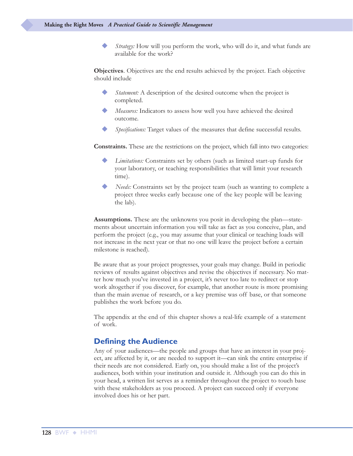*Strategy:* How will you perform the work, who will do it, and what funds are available for the work?

**Objectives**. Objectives are the end results achieved by the project. Each objective should include

- *Statement:* A description of the desired outcome when the project is completed.
- Measures: Indicators to assess how well you have achieved the desired outcome.
- Specifications: Target values of the measures that define successful results.

**Constraints.** These are the restrictions on the project, which fall into two categories:

- Limitations: Constraints set by others (such as limited start-up funds for your laboratory, or teaching responsibilities that will limit your research time).
- *Needs:* Constraints set by the project team (such as wanting to complete a project three weeks early because one of the key people will be leaving the lab).

**Assumptions.** These are the unknowns you posit in developing the plan—statements about uncertain information you will take as fact as you conceive, plan, and perform the project (e.g., you may assume that your clinical or teaching loads will not increase in the next year or that no one will leave the project before a certain milestone is reached).

Be aware that as your project progresses, your goals may change. Build in periodic reviews of results against objectives and revise the objectives if necessary. No matter how much you've invested in a project, it's never too late to redirect or stop work altogether if you discover, for example, that another route is more promising than the main avenue of research, or a key premise was off base, or that someone publishes the work before you do.

The appendix at the end of this chapter shows a real-life example of a statement of work.

#### **Defining the Audience**

Any of your audiences—the people and groups that have an interest in your project, are affected by it, or are needed to support it—can sink the entire enterprise if their needs are not considered. Early on, you should make a list of the project's audiences, both within your institution and outside it. Although you can do this in your head, a written list serves as a reminder throughout the project to touch base with these stakeholders as you proceed. A project can succeed only if everyone involved does his or her part.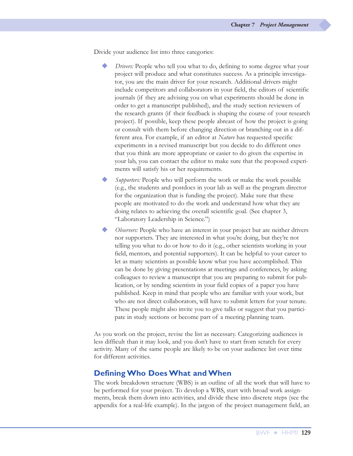Divide your audience list into three categories:

- *Drivers:* People who tell you what to do, defining to some degree what your project will produce and what constitutes success. As a principle investigator, you are the main driver for your research. Additional drivers might include competitors and collaborators in your field, the editors of scientific journals (if they are advising you on what experiments should be done in order to get a manuscript published), and the study section reviewers of the research grants (if their feedback is shaping the course of your research project). If possible, keep these people abreast of how the project is going or consult with them before changing direction or branching out in a different area. For example, if an editor at *Nature* has requested specific experiments in a revised manuscript but you decide to do different ones that you think are more appropriate or easier to do given the expertise in your lab, you can contact the editor to make sure that the proposed experiments will satisfy his or her requirements.
- Supporters: People who will perform the work or make the work possible (e.g., the students and postdocs in your lab as well as the program director for the organization that is funding the project). Make sure that these people are motivated to do the work and understand how what they are doing relates to achieving the overall scientific goal. (See chapter 3, "Laboratory Leadership in Science.")
- *Observers:* People who have an interest in your project but are neither drivers nor supporters. They are interested in what you're doing, but they're not telling you what to do or how to do it (e.g., other scientists working in your field, mentors, and potential supporters). It can be helpful to your career to let as many scientists as possible know what you have accomplished. This can be done by giving presentations at meetings and conferences, by asking colleagues to review a manuscript that you are preparing to submit for publication, or by sending scientists in your field copies of a paper you have published. Keep in mind that people who are familiar with your work, but who are not direct collaborators, will have to submit letters for your tenure. These people might also invite you to give talks or suggest that you participate in study sections or become part of a meeting planning team.

As you work on the project, revise the list as necessary. Categorizing audiences is less difficult than it may look, and you don't have to start from scratch for every activity. Many of the same people are likely to be on your audience list over time for different activities.

#### **Defining Who Does What and When**

The work breakdown structure (WBS) is an outline of all the work that will have to be performed for your project. To develop a WBS, start with broad work assignments, break them down into activities, and divide these into discrete steps (see the appendix for a real-life example). In the jargon of the project management field, an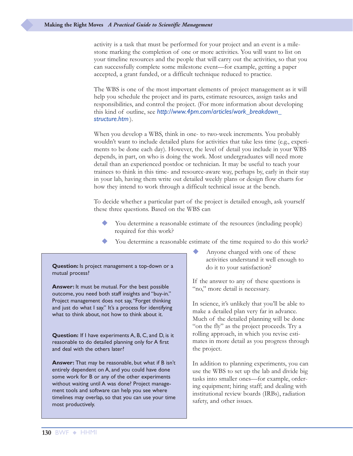activity is a task that must be performed for your project and an event is a milestone marking the completion of one or more activities. You will want to list on your timeline resources and the people that will carry out the activities, so that you can successfully complete some milestone event—for example, getting a paper accepted, a grant funded, or a difficult technique reduced to practice.

The WBS is one of the most important elements of project management as it will help you schedule the project and its parts, estimate resources, assign tasks and responsibilities, and control the project. (For more information about developing this kind of outline, see *http://www.4pm.com/articles/work\_breakdown\_ structure.htm* ).

When you develop a WBS, think in one- to two-week increments. You probably wouldn't want to include detailed plans for activities that take less time (e.g., experiments to be done each day). However, the level of detail you include in your WBS depends, in part, on who is doing the work. Most undergraduates will need more detail than an experienced postdoc or technician. It may be useful to teach your trainees to think in this time- and resource-aware way, perhaps by, early in their stay in your lab, having them write out detailed weekly plans or design flow charts for how they intend to work through a difficult technical issue at the bench.

To decide whether a particular part of the project is detailed enough, ask yourself these three questions. Based on the WBS can

- You determine a reasonable estimate of the resources (including people) required for this work?
- You determine a reasonable estimate of the time required to do this work?

**Question:** Is project management a top-down or a mutual process?

**Answer:** It must be mutual. For the best possible outcome, you need both staff insights and "buy-in." Project management does not say,"Forget thinking and just do what I say." It's a process for identifying what to think about, not how to think about it.

**Question:** If I have experiments A, B, C, and D, is it reasonable to do detailed planning only for A first and deal with the others later?

**Answer:** That may be reasonable, but what if B isn't entirely dependent on A, and you could have done some work for B or any of the other experiments without waiting until A was done? Project management tools and software can help you see where timelines may overlap, so that you can use your time most productively.

Anyone charged with one of these activities understand it well enough to do it to your satisfaction?

If the answer to any of these questions is "no," more detail is necessary.

In science, it's unlikely that you'll be able to make a detailed plan very far in advance. Much of the detailed planning will be done "on the fly" as the project proceeds. Try a rolling approach, in which you revise estimates in more detail as you progress through the project.

In addition to planning experiments, you can use the WBS to set up the lab and divide big tasks into smaller ones—for example, ordering equipment; hiring staff; and dealing with institutional review boards (IRBs), radiation safety, and other issues.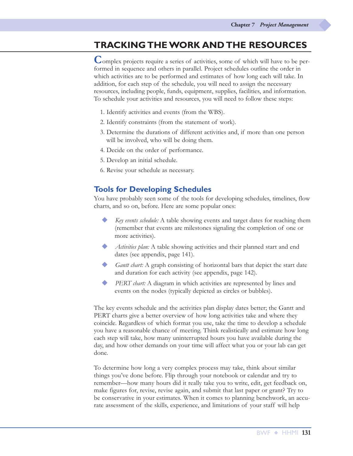## **TRACKING THE WORK AND THE RESOURCES**

Complex projects require a series of activities, some of which will have to be performed in sequence and others in parallel. Project schedules outline the order in which activities are to be performed and estimates of how long each will take. In addition, for each step of the schedule, you will need to assign the necessary resources, including people, funds, equipment, supplies, facilities, and information. To schedule your activities and resources, you will need to follow these steps:

- 1. Identify activities and events (from the WBS).
- 2. Identify constraints (from the statement of work).
- 3. Determine the durations of different activities and, if more than one person will be involved, who will be doing them.
- 4. Decide on the order of performance.
- 5. Develop an initial schedule.
- 6. Revise your schedule as necessary.

#### **Tools for Developing Schedules**

You have probably seen some of the tools for developing schedules, timelines, flow charts, and so on, before. Here are some popular ones:

- Key events schedule: A table showing events and target dates for reaching them (remember that events are milestones signaling the completion of one or more activities).
- Activities plan: A table showing activities and their planned start and end dates (see appendix, page 141).
- *Gantt chart:* A graph consisting of horizontal bars that depict the start date and duration for each activity (see appendix, page 142).
- *PERT chart:* A diagram in which activities are represented by lines and events on the nodes (typically depicted as circles or bubbles).

The key events schedule and the activities plan display dates better; the Gantt and PERT charts give a better overview of how long activities take and where they coincide. Regardless of which format you use, take the time to develop a schedule you have a reasonable chance of meeting. Think realistically and estimate how long each step will take, how many uninterrupted hours you have available during the day, and how other demands on your time will affect what you or your lab can get done.

To determine how long a very complex process may take, think about similar things you've done before. Flip through your notebook or calendar and try to remember—how many hours did it really take you to write, edit, get feedback on, make figures for, revise, revise again, and submit that last paper or grant? Try to be conservative in your estimates. When it comes to planning benchwork, an accurate assessment of the skills, experience, and limitations of your staff will help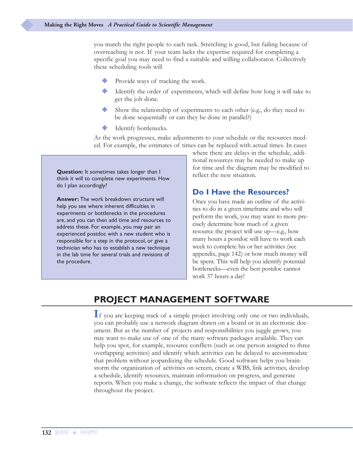you match the right people to each task. Stretching is good, but failing because of overreaching is not. If your team lacks the expertise required for completing a specific goal you may need to find a suitable and willing collaborator. Collectively these scheduling tools will

- Provide ways of tracking the work.
- Identify the order of experiments, which will define how long it will take to get the job done.
- Show the relationship of experiments to each other (e.g., do they need to be done sequentially or can they be done in parallel?)
- Identify bottlenecks.

As the work progresses, make adjustments to your schedule or the resources needed. For example, the estimates of times can be replaced with actual times. In cases

**Question:** It sometimes takes longer than I think it will to complete new experiments. How do I plan accordingly?

**Answer:** The work breakdown structure will help you see where inherent difficulties in experiments or bottlenecks in the procedures are, and you can then add time and resources to address these. For example, you may pair an experienced postdoc with a new student who is responsible for a step in the protocol, or give a technician who has to establish a new technique in the lab time for several trials and revisions of the procedure.

where there are delays in the schedule, additional resources may be needed to make up for time and the diagram may be modified to reflect the new situation.

#### **Do I Have the Resources?**

Once you have made an outline of the activities to do in a given timeframe and who will perform the work, you may want to more precisely determine how much of a given resource the project will use up—e.g., how many hours a postdoc will have to work each week to complete his or her activities (see appendix, page 142) or how much money will be spent. This will help you identify potential bottlenecks—even the best postdoc cannot work 37 hours a day!

## **PROJECT MANAGEMENT SOFTWARE**

**I**f you are keeping track of a simple project involving only one or two individuals, you can probably use a network diagram drawn on a board or in an electronic document. But as the number of projects and responsibilities you juggle grows, you may want to make use of one of the many software packages available. They can help you spot, for example, resource conflicts (such as one person assigned to three overlapping activities) and identify which activities can be delayed to accommodate that problem without jeopardizing the schedule. Good software helps you brainstorm the organization of activities on screen, create a WBS, link activities, develop a schedule, identify resources, maintain information on progress, and generate reports. When you make a change, the software reflects the impact of that change throughout the project.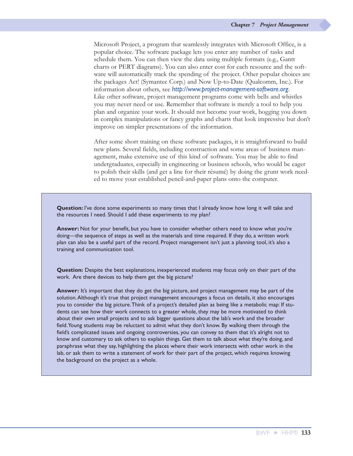Microsoft Project, a program that seamlessly integrates with Microsoft Office, is a popular choice. The software package lets you enter any number of tasks and schedule them. You can then view the data using multiple formats (e.g., Gantt charts or PERT diagrams). You can also enter cost for each resource and the software will automatically track the spending of the project. Other popular choices are the packages Act! (Symantec Corp.) and Now Up-to-Date (Qualcomm, Inc.). For information about others, see *http://www.project-management-software.org*. Like other software, project management programs come with bells and whistles you may never need or use. Remember that software is merely a tool to help you plan and organize your work. It should not become your work, bogging you down in complex manipulations or fancy graphs and charts that look impressive but don't improve on simpler presentations of the information.

After some short training on these software packages, it is straightforward to build new plans. Several fields, including construction and some areas of business management, make extensive use of this kind of software. You may be able to find undergraduates, especially in engineering or business schools, who would be eager to polish their skills (and get a line for their résumé) by doing the grunt work needed to move your established pencil-and-paper plans onto the computer.

**Question:** I've done some experiments so many times that I already know how long it will take and the resources I need. Should I add these experiments to my plan?

**Answer:** Not for your benefit, but you have to consider whether others need to know what you're doing—the sequence of steps as well as the materials and time required. If they do, a written work plan can also be a useful part of the record. Project management isn't just a planning tool, it's also a training and communication tool.

**Question:** Despite the best explanations, inexperienced students may focus only on their part of the work. Are there devices to help them get the big picture?

**Answer:** It's important that they do get the big picture, and project management may be part of the solution.Although it's true that project management encourages a focus on details, it also encourages you to consider the big picture.Think of a project's detailed plan as being like a metabolic map: If students can see how their work connects to a greater whole, they may be more motivated to think about their own small projects and to ask bigger questions about the lab's work and the broader field.Young students may be reluctant to admit what they don't know. By walking them through the field's complicated issues and ongoing controversies, you can convey to them that it's alright not to know and customary to ask others to explain things. Get them to talk about what they're doing, and paraphrase what they say, highlighting the places where their work intersects with other work in the lab, or ask them to write a statement of work for their part of the project, which requires knowing the background on the project as a whole.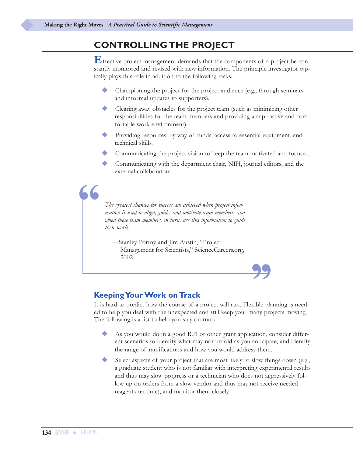## **CONTROLLING THE PROJECT**

**E**ffective project management demands that the components of a project be constantly monitored and revised with new information. The principle investigator typically plays this role in addition to the following tasks:

- Championing the project for the project audience (e.g., through seminars and informal updates to supporters).
- Clearing away obstacles for the project team (such as minimizing other responsibilities for the team members and providing a supportive and comfortable work environment).
- Providing resources, by way of funds, access to essential equipment, and technical skills.
- Communicating the project vision to keep the team motivated and focused.
- Communicating with the department chair, NIH, journal editors, and the external collaborators.

*The greatest chances for success are achieved when project information is used to align, guide, and motivate team members, and when these team members, in turn, use this information to guide their work.*

—Stanley Portny and Jim Austin, "Project Management for Scientists," ScienceCareers.org, 2002

## **Keeping Your Work on Track**

It is hard to predict how the course of a project will run. Flexible planning is needed to help you deal with the unexpected and still keep your many projects moving. The following is a list to help you stay on track:

**''**

- As you would do in a good R01 or other grant application, consider different scenarios to identify what may not unfold as you anticipate, and identify the range of ramifications and how you would address them.
- Select aspects of your project that are most likely to slow things down (e.g., a graduate student who is not familiar with interpreting experimental results and thus may slow progress or a technician who does not aggressively follow up on orders from a slow vendor and thus may not receive needed reagents on time), and monitor them closely.

**''**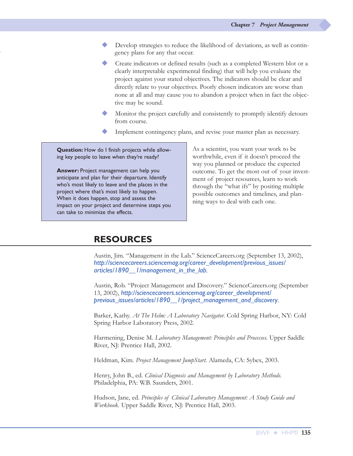- Develop strategies to reduce the likelihood of deviations, as well as contingency plans for any that occur.
- Create indicators or defined results (such as a completed Western blot or a clearly interpretable experimental finding) that will help you evaluate the project against your stated objectives. The indicators should be clear and directly relate to your objectives. Poorly chosen indicators are worse than none at all and may cause you to abandon a project when in fact the objective may be sound.
- Monitor the project carefully and consistently to promptly identify detours from course.
- Implement contingency plans, and revise your master plan as necessary.

**Question:** How do I finish projects while allowing key people to leave when they're ready?

**Answer:** Project management can help you anticipate and plan for their departure. Identify who's most likely to leave and the places in the project where that's most likely to happen. When it does happen, stop and assess the impact on your project and determine steps you can take to minimize the effects.

As a scientist, you want your work to be worthwhile, even if it doesn't proceed the way you planned or produce the expected outcome. To get the most out of your investment of project resources, learn to work through the "what ifs" by positing multiple possible outcomes and timelines, and planning ways to deal with each one.

## **RESOURCES**

Austin, Jim. "Management in the Lab." ScienceCareers.org (September 13, 2002), *http://sciencecareers.sciencemag.org/career\_development/previous\_issues/ articles/1890\_\_1/management\_in\_the\_lab*.

Austin, Rob. "Project Management and Discovery." ScienceCareers.org (September 13, 2002), *http://sciencecareers.sciencemag.org/career\_development/ previous\_issues/articles/1890\_\_1/project\_management\_and\_discovery*.

Barker, Kathy. *At The Helm: A Laboratory Navigator.* Cold Spring Harbor, NY: Cold Spring Harbor Laboratory Press, 2002.

Harmening, Denise M. *Laboratory Management: Principles and Processes.* Upper Saddle River, NJ: Prentice Hall, 2002.

Heldman, Kim. *Project Management JumpStart.* Alameda, CA: Sybex, 2003.

Henry, John B., ed. *Clinical Diagnosis and Management by Laboratory Methods.* Philadelphia, PA: W.B. Saunders, 2001.

Hudson, Jane, ed. *Principles of Clinical Laboratory Management: A Study Guide and Workbook.* Upper Saddle River, NJ: Prentice Hall, 2003.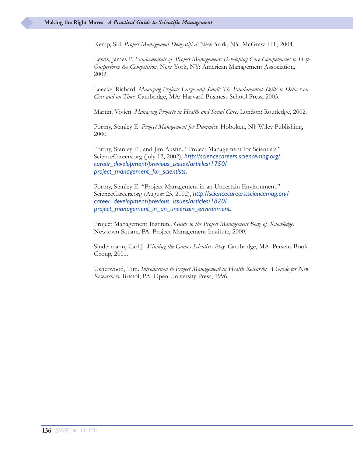Kemp, Sid. *Project Management Demystified.* New York, NY: McGraw-Hill, 2004.

Lewis, James P. *Fundamentals of Project Management: Developing Core Competencies to Help Outperform the Competition.* New York, NY: American Management Association, 2002.

Luecke, Richard. *Managing Projects Large and Small: The Fundamental Skills to Deliver on Cost and on Time.* Cambridge, MA: Harvard Business School Press, 2003.

Martin, Vivien. *Managing Projects in Health and Social Care.* London: Routledge, 2002.

Portny, Stanley E. *Project Management for Dummies.* Hoboken, NJ: Wiley Publishing, 2000.

Portny, Stanley E., and Jim Austin. "Project Management for Scientists." ScienceCareers.org (July 12, 2002), *http://sciencecareers.sciencemag.org/ career\_development/previous\_issues/articles/1750/ project\_management\_for\_scientists*.

Portny, Stanley E. "Project Management in an Uncertain Environment." ScienceCareers.org (August 23, 2002), *http://sciencecareers.sciencemag.org/ career\_development/previous\_issues/articles/1820/ project\_management\_in\_an\_uncertain\_environment*.

Project Management Institute. *Guide to the Project Management Body of Knowledge.* Newtown Square, PA: Project Management Institute, 2000.

Sindermann, Carl J. *Winning the Games Scientists Play.* Cambridge, MA: Perseus Book Group, 2001.

Usherwood, Tim. *Introduction to Project Management in Health Research: A Guide for New Researchers.* Bristol, PA: Open University Press, 1996.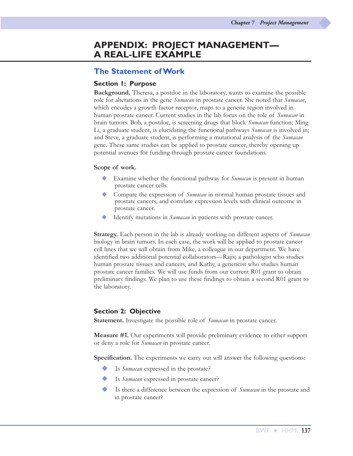## **APPENDIX: PROJECT MANAGEMENT— A REAL-LIFE EXAMPLE**

### **The Statement of Work**

#### **Section 1: Purpose**

**Background.** Theresa, a postdoc in the laboratory, wants to examine the possible role for alterations in the gene *Sumacan* in prostate cancer. She noted that *Sumacan*, which encodes a growth factor receptor, maps to a genetic region involved in human prostate cancer. Current studies in the lab focus on the role of *Sumacan* in brain tumors. Bob, a postdoc, is screening drugs that block *Sumacan* function; Ming Li, a graduate student, is elucidating the functional pathways *Sumacan* is involved in; and Steve, a graduate student, is performing a mutational analysis of the *Sumacan* gene. These same studies can be applied to prostate cancer, thereby opening up potential avenues for funding through prostate cancer foundations.

#### **Scope of work.**

- Examine whether the functional pathway for *Sumacan* is present in human prostate cancer cells.
- Compare the expression of *Sumacan* in normal human prostate tissues and prostate cancers, and correlate expression levels with clinical outcome in prostate cancer.
- Identify mutations in *Sumacan* in patients with prostate cancer.

**Strategy.** Each person in the lab is already working on different aspects of *Sumacan* biology in brain tumors. In each case, the work will be applied to prostate cancer cell lines that we will obtain from Mike, a colleague in our department. We have identified two additional potential collaborators—Rajiv, a pathologist who studies human prostate tissues and cancers, and Kathy, a geneticist who studies human prostate cancer families. We will use funds from our current R01 grant to obtain preliminary findings. We plan to use these findings to obtain a second R01 grant to the laboratory.

#### **Section 2: Objective**

**Statement.** Investigate the possible role of *Sumacan* in prostate cancer.

**Measure #1.** Our experiments will provide preliminary evidence to either support or deny a role for *Sumacan* in prostate cancer.

**Specification.** The experiments we carry out will answer the following questions:

- Is *Sumacan* expressed in the prostate?
- Is *Sumacan* expressed in prostate cancer?
- Is there a difference between the expression of *Sumacan* in the prostate and in prostate cancer?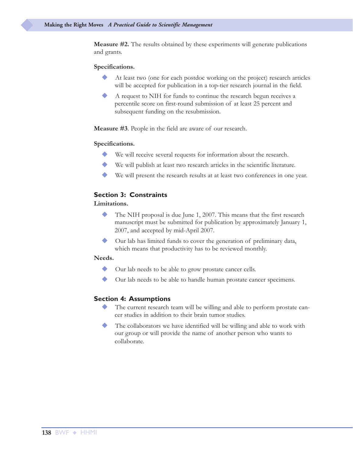**Measure #2.** The results obtained by these experiments will generate publications and grants.

#### **Specifications.**

- At least two (one for each postdoc working on the project) research articles will be accepted for publication in a top-tier research journal in the field.
- A request to NIH for funds to continue the research begun receives a percentile score on first-round submission of at least 25 percent and subsequent funding on the resubmission.

**Measure #3**. People in the field are aware of our research.

#### **Specifications.**

- We will receive several requests for information about the research.
- We will publish at least two research articles in the scientific literature.
- We will present the research results at at least two conferences in one year.

#### **Section 3: Constraints**

#### **Limitations.**

- The NIH proposal is due June 1, 2007. This means that the first research manuscript must be submitted for publication by approximately January 1, 2007, and accepted by mid-April 2007.
- Our lab has limited funds to cover the generation of preliminary data, which means that productivity has to be reviewed monthly.

#### **Needs.**

- Our lab needs to be able to grow prostate cancer cells.
- Our lab needs to be able to handle human prostate cancer specimens.

#### **Section 4: Assumptions**

- The current research team will be willing and able to perform prostate cancer studies in addition to their brain tumor studies.
- The collaborators we have identified will be willing and able to work with our group or will provide the name of another person who wants to collaborate.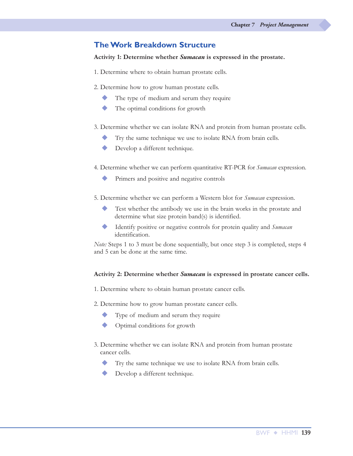### **The Work Breakdown Structure**

#### **Activity 1: Determine whether** *Sumacan* **is expressed in the prostate.**

- 1. Determine where to obtain human prostate cells.
- 2. Determine how to grow human prostate cells.
	- The type of medium and serum they require
	- The optimal conditions for growth
- 3. Determine whether we can isolate RNA and protein from human prostate cells.
	- Try the same technique we use to isolate RNA from brain cells.
	- Develop a different technique.
- 4. Determine whether we can perform quantitative RT-PCR for *Sumacan* expression.
	- Primers and positive and negative controls
- 5. Determine whether we can perform a Western blot for *Sumacan* expression.
	- Test whether the antibody we use in the brain works in the prostate and determine what size protein band(s) is identified.
	- u Identify positive or negative controls for protein quality and *Sumacan* identification.

*Note:* Steps 1 to 3 must be done sequentially, but once step 3 is completed, steps 4 and 5 can be done at the same time.

#### **Activity 2: Determine whether** *Sumacan* **is expressed in prostate cancer cells.**

- 1. Determine where to obtain human prostate cancer cells.
- 2. Determine how to grow human prostate cancer cells.
	- Type of medium and serum they require
	- Optimal conditions for growth
- 3. Determine whether we can isolate RNA and protein from human prostate cancer cells.
	- Try the same technique we use to isolate RNA from brain cells.
	- Develop a different technique.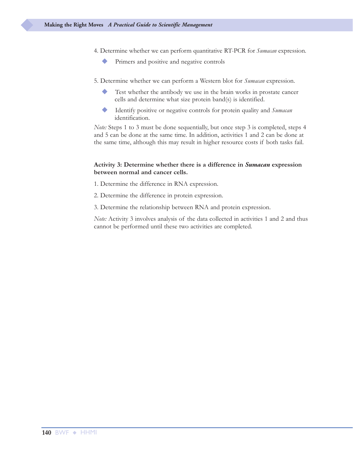- 4. Determine whether we can perform quantitative RT-PCR for *Sumacan* expression.
	- Primers and positive and negative controls
- 5. Determine whether we can perform a Western blot for *Sumacan* expression.
	- Test whether the antibody we use in the brain works in prostate cancer cells and determine what size protein band(s) is identified.
	- u Identify positive or negative controls for protein quality and *Sumacan* identification.

*Note:* Steps 1 to 3 must be done sequentially, but once step 3 is completed, steps 4 and 5 can be done at the same time. In addition, activities 1 and 2 can be done at the same time, although this may result in higher resource costs if both tasks fail.

#### **Activity 3: Determine whether there is a difference in** *Sumacan* **expression between normal and cancer cells.**

- 1. Determine the difference in RNA expression.
- 2. Determine the difference in protein expression.
- 3. Determine the relationship between RNA and protein expression.

*Note:* Activity 3 involves analysis of the data collected in activities 1 and 2 and thus cannot be performed until these two activities are completed.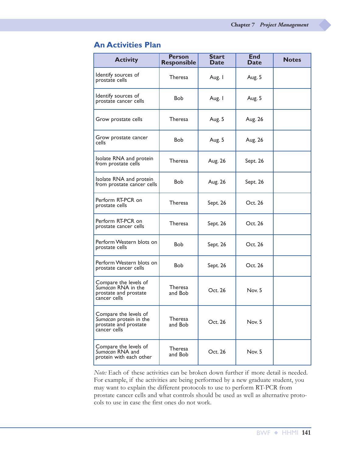## **An Activities Plan**

| <b>Activity</b>                                                                          | <b>Person</b><br><b>Responsible</b> | <b>Start</b><br><b>Date</b> | <b>End</b><br><b>Date</b> | <b>Notes</b> |
|------------------------------------------------------------------------------------------|-------------------------------------|-----------------------------|---------------------------|--------------|
| Identify sources of<br>prostate cells                                                    | Theresa                             | Aug. I                      | Aug. 5                    |              |
| Identify sources of<br>prostate cancer cells                                             | <b>Bob</b>                          | Aug. I                      | Aug. 5                    |              |
| Grow prostate cells                                                                      | Theresa                             | Aug. 5                      | Aug. 26                   |              |
| Grow prostate cancer<br>cells                                                            | Bob                                 | Aug. 5                      | Aug. 26                   |              |
| Isolate RNA and protein<br>from prostate cells                                           | Theresa                             | Aug. 26                     | Sept. 26                  |              |
| Isolate RNA and protein<br>from prostate cancer cells                                    | Bob                                 | Aug. 26                     | Sept. 26                  |              |
| Perform RT-PCR on<br>prostate cells                                                      | Theresa                             | Sept. 26                    | Oct. 26                   |              |
| Perform RT-PCR on<br>prostate cancer cells                                               | Theresa                             | Sept. 26                    | Oct. 26                   |              |
| Perform Western blots on<br>prostate cells                                               | <b>Bob</b>                          | Sept. 26                    | Oct. 26                   |              |
| Perform Western blots on<br>prostate cancer cells                                        | <b>Bob</b>                          | Sept. 26                    | Oct. 26                   |              |
| Compare the levels of<br>Sumacan RNA in the<br>prostate and prostate<br>cancer cells     | Theresa<br>and Bob                  | Oct. 26                     | Nov. 5                    |              |
| Compare the levels of<br>Sumacan protein in the<br>prostate and prostate<br>cancer cells | <b>Theresa</b><br>and Bob           | Oct. 26                     | Nov. 5                    |              |
| Compare the levels of<br>Sumacan RNA and<br>protein with each other                      | Theresa<br>and Bob                  | Oct. 26                     | Nov. 5                    |              |

*Note:* Each of these activities can be broken down further if more detail is needed. For example, if the activities are being performed by a new graduate student, you may want to explain the different protocols to use to perform RT-PCR from prostate cancer cells and what controls should be used as well as alternative protocols to use in case the first ones do not work.